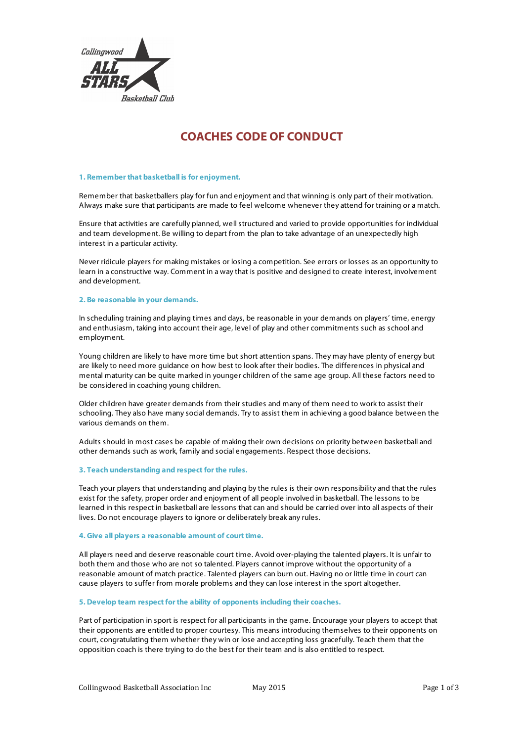

# **COACHES CODE OF CONDUCT**

#### **1. Remember that basketball is for enjoyment.**

Remember that basketballers play for fun and enjoyment and that winning is only part of their motivation. Always make sure that participants are made to feel welcome whenever they attend for training or a match.

Ensure that activities are carefully planned, well structured and varied to provide opportunities for individual and team development. Be willing to depart from the plan to take advantage of an unexpectedly high interest in a particular activity.

Never ridicule players for making mistakes or losing a competition. See errors or losses as an opportunity to learn in a constructive way. Comment in a way that is positive and designed to create interest, involvement and development.

#### **2. Be reasonable in your demands.**

In scheduling training and playing times and days, be reasonable in your demands on players' time, energy and enthusiasm, taking into account their age, level of play and other commitments such as school and employment.

Young children are likely to have more time but short attention spans. They may have plenty of energy but are likely to need more guidance on how best to look after their bodies. The differences in physical and mental maturity can be quite marked in younger children of the same age group. All these factors need to be considered in coaching young children.

Older children have greater demands from their studies and many of them need to work to assist their schooling. They also have many social demands. Try to assist them in achieving a good balance between the various demands on them.

Adults should in most cases be capable of making their own decisions on priority between basketball and other demands such as work, family and social engagements. Respect those decisions.

## **3. Teach understanding and respect for the rules.**

Teach your players that understanding and playing by the rules is their own responsibility and that the rules exist for the safety, proper order and enjoyment of all people involved in basketball. The lessons to be learned in this respect in basketball are lessons that can and should be carried over into all aspects of their lives. Do not encourage players to ignore or deliberately break any rules.

#### **4. Give all players a reasonable amount of court time.**

All players need and deserve reasonable court time. Avoid over-playing the talented players. It is unfair to both them and those who are not so talented. Players cannot improve without the opportunity of a reasonable amount of match practice. Talented players can burn out. Having no or little time in court can cause players to suffer from morale problems and they can lose interest in the sport altogether.

## **5. Develop team respect for the ability of opponents including their coaches.**

Part of participation in sport is respect for all participants in the game. Encourage your players to accept that their opponents are entitled to proper courtesy. This means introducing themselves to their opponents on court, congratulating them whether they win or lose and accepting loss gracefully. Teach them that the opposition coach is there trying to do the best for their team and is also entitled to respect.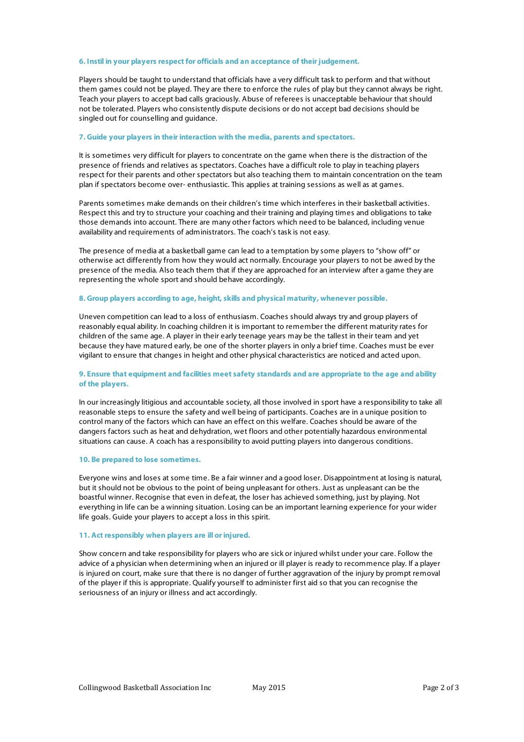#### **6. Instil in your players respect for officials and an acceptance of their judgement.**

Players should be taught to understand that officials have a very difficult task to perform and that without them games could not be played. They are there to enforce the rules of play but they cannot always be right. Teach your players to accept bad calls graciously. Abuse of referees is unacceptable behaviour that should not be tolerated. Players who consistently dispute decisions or do not accept bad decisions should be singled out for counselling and guidance.

## **7. Guide your players in their interaction with the media, parents and spectators.**

It is sometimes very difficult for players to concentrate on the game when there is the distraction of the presence of friends and relatives as spectators. Coaches have a difficult role to play in teaching players respect for their parents and other spectators but also teaching them to maintain concentration on the team plan if spectators become over- enthusiastic. This applies at training sessions as well as at games.

Parents sometimes make demands on their children's time which interferes in their basketball activities. Respect this and try to structure your coaching and their training and playing times and obligations to take those demands into account. There are many other factors which need to be balanced, including venue availability and requirements of administrators. The coach's task is not easy.

The presence of media at a basketball game can lead to a temptation by some players to "show off" or otherwise act differently from how they would act normally. Encourage your players to not be awed by the presence of the media. Also teach them that if they are approached for an interview after a game they are representing the whole sport and should behave accordingly.

#### **8. Group players according to age, height, skills and physical maturity, whenever possible.**

Uneven competition can lead to a loss of enthusiasm. Coaches should always try and group players of reasonably equal ability. In coaching children it is important to remember the different maturity rates for children of the same age. A player in their early teenage years may be the tallest in their team and yet because they have matured early, be one of the shorter players in only a brief time. Coaches must be ever vigilant to ensure that changes in height and other physical characteristics are noticed and acted upon.

## **9. Ensure that equipment and facilities meet safety standards and are appropriate to the age and ability of the players.**

In our increasingly litigious and accountable society, all those involved in sport have a responsibility to take all reasonable steps to ensure the safety and well being of participants. Coaches are in a unique position to control many of the factors which can have an effect on this welfare. Coaches should be aware of the dangers factors such as heat and dehydration, wet floors and other potentially hazardous environmental situations can cause. A coach has a responsibility to avoid putting players into dangerous conditions.

## **10. Be prepared to lose sometimes.**

Everyone wins and loses at some time. Be a fair winner and a good loser. Disappointment at losing is natural, but it should not be obvious to the point of being unpleasant for others. Just as unpleasant can be the boastful winner. Recognise that even in defeat, the loser has achieved something, just by playing. Not everything in life can be a winning situation. Losing can be an important learning experience for your wider life goals. Guide your players to accept a loss in this spirit.

## **11. Act responsibly when players are ill or injured.**

Show concern and take responsibility for players who are sick or injured whilst under your care. Follow the advice of a physician when determining when an injured or ill player is ready to recommence play. If a player is injured on court, make sure that there is no danger of further aggravation of the injury by prompt removal of the player if this is appropriate. Qualify yourself to administer first aid so that you can recognise the seriousness of an injury or illness and act accordingly.